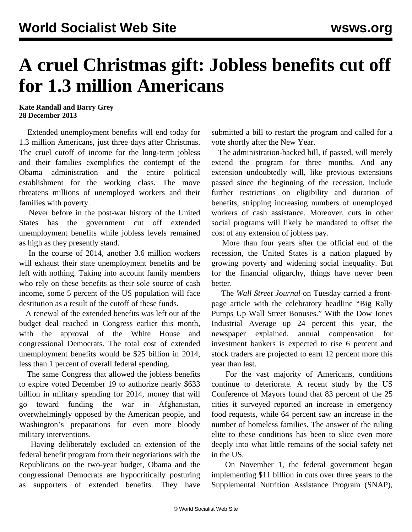## **A cruel Christmas gift: Jobless benefits cut off for 1.3 million Americans**

## **Kate Randall and Barry Grey 28 December 2013**

 Extended unemployment benefits will end today for 1.3 million Americans, just three days after Christmas. The cruel cutoff of income for the long-term jobless and their families exemplifies the contempt of the Obama administration and the entire political establishment for the working class. The move threatens millions of unemployed workers and their families with poverty.

 Never before in the post-war history of the United States has the government cut off extended unemployment benefits while jobless levels remained as high as they presently stand.

 In the course of 2014, another 3.6 million workers will exhaust their state unemployment benefits and be left with nothing. Taking into account family members who rely on these benefits as their sole source of cash income, some 5 percent of the US population will face destitution as a result of the cutoff of these funds.

 A renewal of the extended benefits was left out of the budget deal reached in Congress earlier this month, with the approval of the White House and congressional Democrats. The total cost of extended unemployment benefits would be \$25 billion in 2014, less than 1 percent of overall federal spending.

 The same Congress that allowed the jobless benefits to expire voted December 19 to authorize nearly \$633 billion in military spending for 2014, money that will go toward funding the war in Afghanistan, overwhelmingly opposed by the American people, and Washington's preparations for even more bloody military interventions.

 Having deliberately excluded an extension of the federal benefit program from their negotiations with the Republicans on the two-year budget, Obama and the congressional Democrats are hypocritically posturing as supporters of extended benefits. They have

submitted a bill to restart the program and called for a vote shortly after the New Year.

 The administration-backed bill, if passed, will merely extend the program for three months. And any extension undoubtedly will, like previous extensions passed since the beginning of the recession, include further restrictions on eligibility and duration of benefits, stripping increasing numbers of unemployed workers of cash assistance. Moreover, cuts in other social programs will likely be mandated to offset the cost of any extension of jobless pay.

 More than four years after the official end of the recession, the United States is a nation plagued by growing poverty and widening social inequality. But for the financial oligarchy, things have never been better.

 The *Wall Street Journal* on Tuesday carried a frontpage article with the celebratory headline "Big Rally Pumps Up Wall Street Bonuses." With the Dow Jones Industrial Average up 24 percent this year, the newspaper explained, annual compensation for investment bankers is expected to rise 6 percent and stock traders are projected to earn 12 percent more this year than last.

 For the vast majority of Americans, conditions continue to deteriorate. A recent study by the US Conference of Mayors found that 83 percent of the 25 cities it surveyed reported an increase in emergency food requests, while 64 percent saw an increase in the number of homeless families. The answer of the ruling elite to these conditions has been to slice even more deeply into what little remains of the social safety net in the US.

 On November 1, the federal government began implementing \$11 billion in cuts over three years to the Supplemental Nutrition Assistance Program (SNAP),